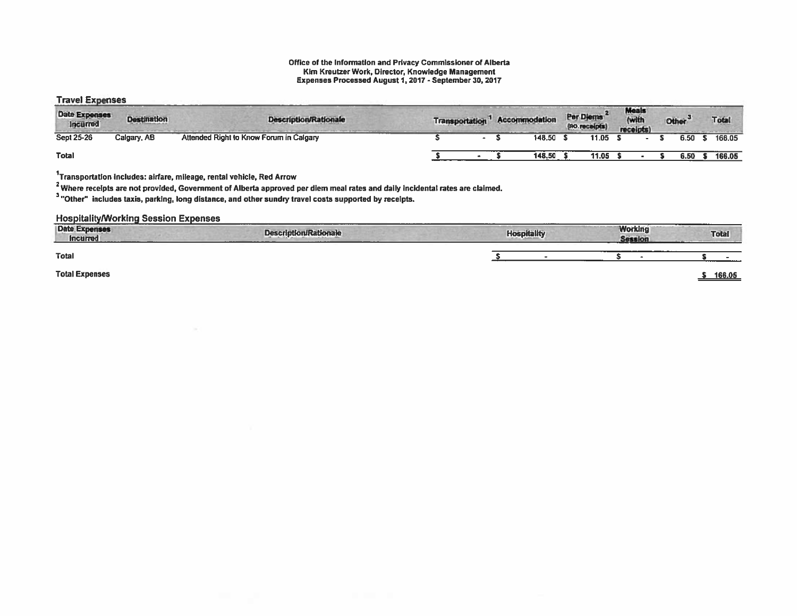## Office of the Information and Privacy Commissioner of Alberta Kim Kreutzer Work, Director, Knowledge Management Expenses Processed August 1,2017 -September 30, 2017

## Travel Expenses

| <b>Date Expenses</b><br><b>Incurred</b> | <b>Destination</b> | <b>Description/Rationale</b>            | <b>Transportation</b> |  | Accommodation | Per Diems<br>(no receipts) | <b>Meals</b><br>(with<br>receipts) | Other <sup>3</sup> | Total  |
|-----------------------------------------|--------------------|-----------------------------------------|-----------------------|--|---------------|----------------------------|------------------------------------|--------------------|--------|
| <b>Sept 25-26</b>                       | Calgary, AB        | Attended Right to Know Forum in Calgary |                       |  | 148.50        | 11.05                      |                                    | 6.50               | 166.05 |
| <b>Total</b>                            |                    |                                         |                       |  | 148.50        | 11.05                      |                                    | 6.50               | 166.05 |

1Transportatlon Includes: airfare, mileage, rental vehicle, Red Arrow

<sup>2</sup> Where receipts are not provided, Government of Alberta approved per diem meal rates and daily incidental rates are claimed.

<sup>3</sup> "Other" includes taxis, parking, long distance, and other sundry travel costs supported by receipts.

HospitalitylWorking Session Expenses

| <b>Date Expenses</b><br><b>Incurred</b> | ----------<br><b>Description/Rationale</b><br>----------<br>___ | ----<br>-------<br><b>Hospitality</b> | <b>Working</b><br>Session. | <b>Total</b> |
|-----------------------------------------|-----------------------------------------------------------------|---------------------------------------|----------------------------|--------------|
| <b>Total</b>                            |                                                                 |                                       |                            |              |
| <b>Total Expenses</b>                   |                                                                 |                                       |                            | 166.05       |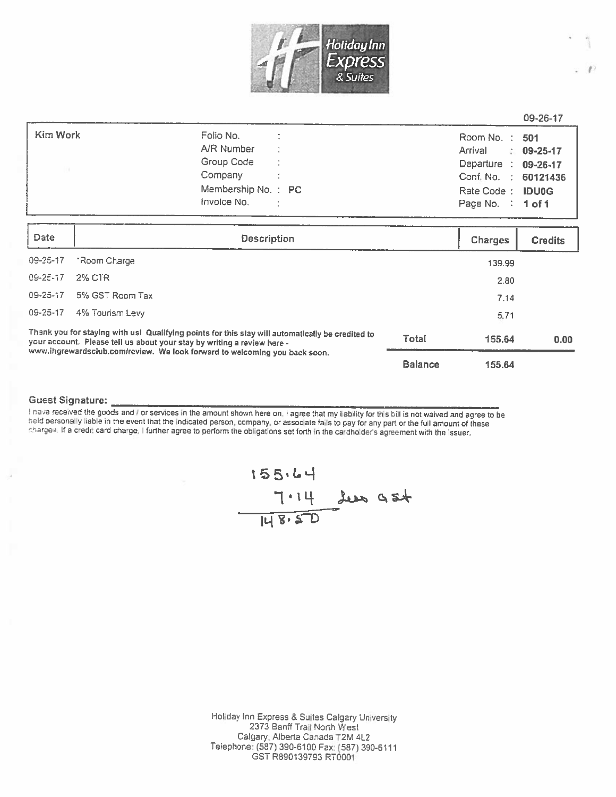

|          |                      | 09-26-17                     |
|----------|----------------------|------------------------------|
| Kim Work | Folio No.            | Room No. : 501               |
|          | A/R Number           | Arrival<br>$1.09 - 25 - 17$  |
|          | Group Code           | Departure : 09-26-17         |
|          | Company<br>$\sim$ 1. | Conf. No. : 60121436         |
|          | Membership No.: PC   | Rate Code: IDU0G             |
|          | Invoice No.          | Page No. $\therefore$ 1 of 1 |

| Date                                                                                                                                                                                                                                                      | <b>Description</b> |                |        | <b>Credits</b> |  |
|-----------------------------------------------------------------------------------------------------------------------------------------------------------------------------------------------------------------------------------------------------------|--------------------|----------------|--------|----------------|--|
| 09-25-17                                                                                                                                                                                                                                                  | *Room Charge       |                | 139.99 |                |  |
| 09-25-17                                                                                                                                                                                                                                                  | 2% CTR             |                | 2.80   |                |  |
| 09-25-17                                                                                                                                                                                                                                                  | 5% GST Room Tax    |                | 7.14   |                |  |
| 09-25-17                                                                                                                                                                                                                                                  | 4% Tourism Levy    |                | 5.71   |                |  |
| Thank you for staying with us! Qualifying points for this stay will automatically be credited to<br>your account. Please tell us about your stay by writing a review here -<br>www.ihgrewardsclub.com/review. We look forward to welcoming you back soon. |                    | <b>Total</b>   | 155.64 | 0.00           |  |
|                                                                                                                                                                                                                                                           |                    | <b>Balance</b> | 155.64 |                |  |

## Guest Signature:

I have received the goods and I or services in the amount shown here on. I agree that my liability for this bill is not waived and agree to be held personally liable in the event that the indicated person, company, or asso



Hotiday Inn Express & Suites Calgary University<br>2373 Banff Trail North West Igary, Alberta Canada T2M 4L2 Telephone: (567) 390-6100 Fax (587) 390-6111 GST R890139793 RT0001